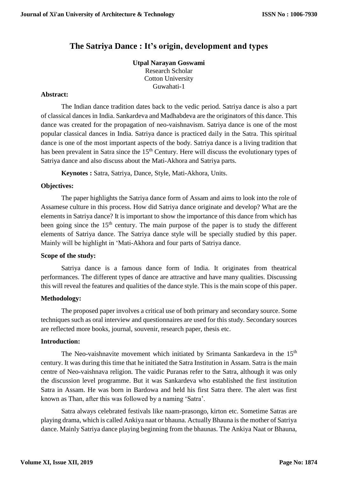# **The Satriya Dance : It's origin, development and types**

## **Utpal Narayan Goswami** Research Scholar Cotton University Guwahati-1

## **Abstract:**

The Indian dance tradition dates back to the vedic period. Satriya dance is also a part of classical dances in India. Sankardeva and Madhabdeva are the originators of this dance. This dance was created for the propagation of neo-vaishnavism. Satriya dance is one of the most popular classical dances in India. Satriya dance is practiced daily in the Satra. This spiritual dance is one of the most important aspects of the body. Satriya dance is a living tradition that has been prevalent in Satra since the 15<sup>th</sup> Century. Here will discuss the evolutionary types of Satriya dance and also discuss about the Mati-Akhora and Satriya parts.

**Keynotes :** Satra, Satriya, Dance, Style, Mati-Akhora, Units.

### **Objectives:**

The paper highlights the Satriya dance form of Assam and aims to look into the role of Assamese culture in this process. How did Satriya dance originate and develop? What are the elements in Satriya dance? It is important to show the importance of this dance from which has been going since the  $15<sup>th</sup>$  century. The main purpose of the paper is to study the different elements of Satriya dance. The Satriya dance style will be specially studied by this paper. Mainly will be highlight in 'Mati-Akhora and four parts of Satriya dance.

#### **Scope of the study:**

Satriya dance is a famous dance form of India. It originates from theatrical performances. The different types of dance are attractive and have many qualities. Discussing this will reveal the features and qualities of the dance style. This is the main scope of this paper.

#### **Methodology:**

The proposed paper involves a critical use of both primary and secondary source. Some techniques such as oral interview and questionnaires are used for this study. Secondary sources are reflected more books, journal, souvenir, research paper, thesis etc.

#### **Introduction:**

The Neo-vaishnavite movement which initiated by Srimanta Sankardeva in the 15<sup>th</sup> century. It was during this time that he initiated the Satra Institution in Assam. Satra is the main centre of Neo-vaishnava religion. The vaidic Puranas refer to the Satra, although it was only the discussion level programme. But it was Sankardeva who established the first institution Satra in Assam. He was born in Bardowa and held his first Satra there. The alert was first known as Than, after this was followed by a naming 'Satra'.

Satra always celebrated festivals like naam-prasongo, kirton etc. Sometime Satras are playing drama, which is called Ankiya naat or bhauna. Actually Bhauna is the mother of Satriya dance. Mainly Satriya dance playing beginning from the bhaunas. The Ankiya Naat or Bhauna,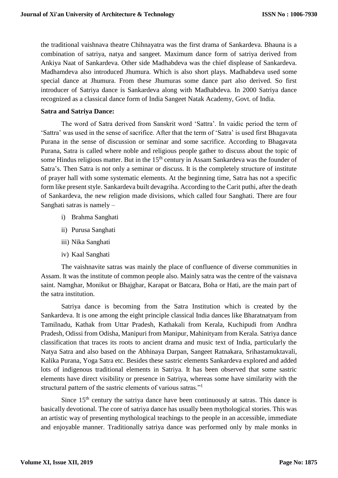the traditional vaishnava theatre Chihnayatra was the first drama of Sankardeva. Bhauna is a combination of satriya, natya and sangeet. Maximum dance form of satriya derived from Ankiya Naat of Sankardeva. Other side Madhabdeva was the chief displease of Sankardeva. Madhamdeva also introduced Jhumura. Which is also short plays. Madhabdeva used some special dance at Jhumura. From these Jhumuras some dance part also derived. So first introducer of Satriya dance is Sankardeva along with Madhabdeva. In 2000 Satriya dance recognized as a classical dance form of India Sangeet Natak Academy, Govt. of India.

## **Satra and Satriya Dance:**

The word of Satra derived from Sanskrit word 'Sattra'. In vaidic period the term of 'Sattra' was used in the sense of sacrifice. After that the term of 'Satra' is used first Bhagavata Purana in the sense of discussion or seminar and some sacrifice. According to Bhagavata Purana, Satra is called where noble and religious people gather to discuss about the topic of some Hindus religious matter. But in the 15<sup>th</sup> century in Assam Sankardeva was the founder of Satra's. Then Satra is not only a seminar or discuss. It is the completely structure of institute of prayer hall with some systematic elements. At the beginning time, Satra has not a specific form like present style. Sankardeva built devagriha. According to the Carit puthi, after the death of Sankardeva, the new religion made divisions, which called four Sanghati. There are four Sanghati satras is namely –

- i) Brahma Sanghati
- ii) Purusa Sanghati
- iii) Nika Sanghati
- iv) Kaal Sanghati

The vaishnavite satras was mainly the place of confluence of diverse communities in Assam. It was the institute of common people also. Mainly satra was the centre of the vaisnava saint. Namghar, Monikut or Bhajghar, Karapat or Batcara, Boha or Hati, are the main part of the satra institution.

Satriya dance is becoming from the Satra Institution which is created by the Sankardeva. It is one among the eight principle classical India dances like Bharatnatyam from Tamilnadu, Kathak from Uttar Pradesh, Kathakali from Kerala, Kuchipudi from Andhra Pradesh, Odissi from Odisha, Manipuri from Manipur, Mahinityam from Kerala. Satriya dance classification that traces its roots to ancient drama and music text of India, particularly the Natya Satra and also based on the Abhinaya Darpan, Sangeet Ratnakara, Srihastamuktavali, Kalika Purana, Yoga Satra etc. Besides these sastric elements Sankardeva explored and added lots of indigenous traditional elements in Satriya. It has been observed that some sastric elements have direct visibility or presence in Satriya, whereas some have similarity with the structural pattern of the sastric elements of various satras."<sup>1</sup>

Since  $15<sup>th</sup>$  century the satriya dance have been continuously at satras. This dance is basically devotional. The core of satriya dance has usually been mythological stories. This was an artistic way of presenting mythological teachings to the people in an accessible, immediate and enjoyable manner. Traditionally satriya dance was performed only by male monks in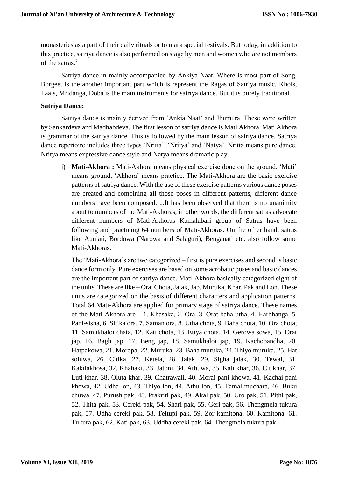monasteries as a part of their daily rituals or to mark special festivals. But today, in addition to this practice, satriya dance is also performed on stage by men and women who are not members of the satras.<sup>2</sup>

Satriya dance in mainly accompanied by Ankiya Naat. Where is most part of Song, Borgeet is the another important part which is represent the Ragas of Satriya music. Khols, Taals, Mridanga, Doba is the main instruments for satriya dance. But it is purely traditional.

## **Satriya Dance:**

Satriya dance is mainly derived from 'Ankia Naat' and Jhumura. These were written by Sankardeva and Madhabdeva. The first lesson of satriya dance is Mati Akhora. Mati Akhora is grammar of the satriya dance. This is followed by the main lesson of satriya dance. Satriya dance repertoire includes three types 'Nritta', 'Nritya' and 'Natya'. Nritta means pure dance, Nritya means expressive dance style and Natya means dramatic play.

i) **Mati-Akhora :** Mati-Akhora means physical exercise done on the ground. 'Mati' means ground, 'Akhora' means practice. The Mati-Akhora are the basic exercise patterns of satriya dance. With the use of these exercise patterns various dance poses are created and combining all those poses in different patterns, different dance numbers have been composed. ...It has been observed that there is no unanimity about to numbers of the Mati-Akhoras, in other words, the different satras advocate different numbers of Mati-Akhoras Kamalabari group of Satras have been following and practicing 64 numbers of Mati-Akhoras. On the other hand, satras like Auniati, Bordowa (Narowa and Salaguri), Benganati etc. also follow some Mati-Akhoras.

The 'Mati-Akhora's are two categorized – first is pure exercises and second is basic dance form only. Pure exercises are based on some acrobatic poses and basic dances are the important part of satriya dance. Mati-Akhora basically categorized eight of the units. These are like – Ora, Chota, Jalak, Jap, Muruka, Khar, Pak and Lon. These units are categorized on the basis of different characters and application patterns. Total 64 Mati-Akhora are applied for primary stage of satriya dance. These names of the Mati-Akhora are – 1. Khasaka, 2. Ora, 3. Orat baha-utha, 4. Harbhanga, 5. Pani-sisha, 6. Sitika ora, 7. Saman ora, 8. Utha chota, 9. Baha chota, 10. Ora chota, 11. Samukhaloi chata, 12. Kati chota, 13. Etiya chota, 14. Gerowa sowa, 15. Orat jap, 16. Bagh jap, 17. Beng jap, 18. Samukhaloi jap, 19. Kachobandha, 20. Hatpakowa, 21. Moropa, 22. Muruka, 23. Baha muruka, 24. Thiyo muruka, 25. Hat soluwa, 26. Citika, 27. Ketela, 28. Jalak, 29. Sigha jalak, 30. Tewai, 31. Kakilakhosa, 32. Khahaki, 33. Jatoni, 34. Athuwa, 35. Kati khar, 36. Cit khar, 37. Luti khar, 38. Oluta khar, 39. Chatrawali, 40. Morai pani khowa, 41. Kachai pani khowa, 42. Udha lon, 43. Thiyo lon, 44. Athu lon, 45. Tamal muchara, 46. Buku chuwa, 47. Purush pak, 48. Prakriti pak, 49. Akal pak, 50. Uro pak, 51. Pithi pak, 52. Thita pak, 53. Cereki pak, 54. Shari pak, 55. Geri pak, 56. Thengmela tukura pak, 57. Udha cereki pak, 58. Teltupi pak, 59. Zor kamitona, 60. Kamitona, 61. Tukura pak, 62. Kati pak, 63. Uddha cereki pak, 64. Thengmela tukura pak.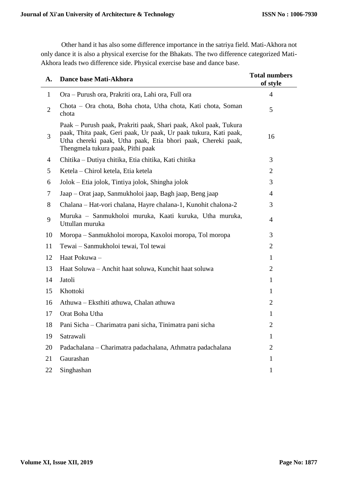Other hand it has also some difference importance in the satriya field. Mati-Akhora not only dance it is also a physical exercise for the Bhakats. The two difference categorized Mati-Akhora leads two difference side. Physical exercise base and dance base.

| A.             | Dance base Mati-Akhora                                                                                                                                                                                                                    | <b>Total numbers</b><br>of style |
|----------------|-------------------------------------------------------------------------------------------------------------------------------------------------------------------------------------------------------------------------------------------|----------------------------------|
| $\mathbf{1}$   | Ora – Purush ora, Prakriti ora, Lahi ora, Full ora                                                                                                                                                                                        | $\overline{4}$                   |
| $\overline{2}$ | Chota – Ora chota, Boha chota, Utha chota, Kati chota, Soman<br>chota                                                                                                                                                                     | 5                                |
| 3              | Paak – Purush paak, Prakriti paak, Shari paak, Akol paak, Tukura<br>paak, Thita paak, Geri paak, Ur paak, Ur paak tukura, Kati paak,<br>Utha chereki paak, Utha paak, Etia bhori paak, Chereki paak,<br>Thengmela tukura paak, Pithi paak | 16                               |
| $\overline{4}$ | Chitika – Dutiya chitika, Etia chitika, Kati chitika                                                                                                                                                                                      | 3                                |
| 5              | Ketela – Chirol ketela, Etia ketela                                                                                                                                                                                                       | $\overline{2}$                   |
| 6              | Jolok – Etia jolok, Tintiya jolok, Shingha jolok                                                                                                                                                                                          | 3                                |
| 7              | Jaap – Orat jaap, Sanmukholoi jaap, Bagh jaap, Beng jaap                                                                                                                                                                                  | $\overline{4}$                   |
| 8              | Chalana - Hat-vori chalana, Hayre chalana-1, Kunohit chalona-2                                                                                                                                                                            | 3                                |
| 9              | Muruka – Sanmukholoi muruka, Kaati kuruka, Utha muruka,<br>Uttullan muruka                                                                                                                                                                | $\overline{4}$                   |
| 10             | Moropa – Sanmukholoi moropa, Kaxoloi moropa, Tol moropa                                                                                                                                                                                   | 3                                |
| 11             | Tewai - Sanmukholoi tewai, Tol tewai                                                                                                                                                                                                      | $\overline{2}$                   |
| 12             | Haat Pokuwa -                                                                                                                                                                                                                             | $\mathbf{1}$                     |
| 13             | Haat Soluwa - Anchit haat soluwa, Kunchit haat soluwa                                                                                                                                                                                     | $\overline{2}$                   |
| 14             | Jatoli                                                                                                                                                                                                                                    | 1                                |
| 15             | Khottoki                                                                                                                                                                                                                                  | $\mathbf{1}$                     |
| 16             | Athuwa - Eksthiti athuwa, Chalan athuwa                                                                                                                                                                                                   | $\overline{2}$                   |
| 17             | Orat Boha Utha                                                                                                                                                                                                                            | 1                                |
| 18             | Pani Sicha – Charimatra pani sicha, Tinimatra pani sicha                                                                                                                                                                                  | 2                                |
| 19             | Satrawali                                                                                                                                                                                                                                 | 1                                |
| 20             | Padachalana – Charimatra padachalana, Athmatra padachalana                                                                                                                                                                                | $\overline{2}$                   |
| 21             | Gaurashan                                                                                                                                                                                                                                 | 1                                |
| 22             | Singhashan                                                                                                                                                                                                                                | $\mathbf{1}$                     |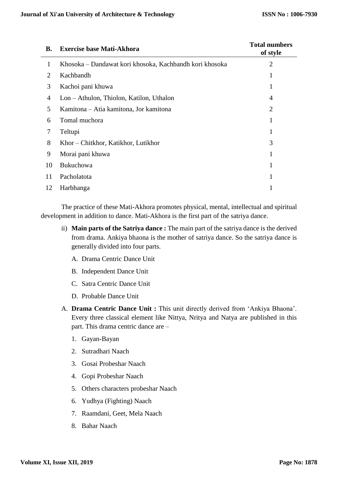| В.             | <b>Exercise base Mati-Akhora</b>                        | <b>Total numbers</b><br>of style |
|----------------|---------------------------------------------------------|----------------------------------|
|                | Khosoka – Dandawat kori khosoka, Kachbandh kori khosoka | 2                                |
| 2              | Kachbandh                                               |                                  |
| 3              | Kachoi pani khuwa                                       |                                  |
| $\overline{4}$ | Lon - Athulon, Thiolon, Katilon, Uthalon                | 4                                |
| 5              | Kamitona – Atia kamitona, Jor kamitona                  | $\overline{2}$                   |
| 6              | Tomal muchora                                           |                                  |
| 7              | Teltupi                                                 |                                  |
| 8              | Khor – Chitkhor, Katikhor, Lutikhor                     | 3                                |
| 9              | Morai pani khuwa                                        |                                  |
| 10             | Bukuchowa                                               |                                  |
| 11             | Pacholatota                                             |                                  |
| 12             | Harbhanga                                               |                                  |

The practice of these Mati-Akhora promotes physical, mental, intellectual and spiritual development in addition to dance. Mati-Akhora is the first part of the satriya dance.

- ii) **Main parts of the Satriya dance :** The main part of the satriya dance is the derived from drama. Ankiya bhaona is the mother of satriya dance. So the satriya dance is generally divided into four parts.
	- A. Drama Centric Dance Unit
	- B. Independent Dance Unit
	- C. Satra Centric Dance Unit
	- D. Probable Dance Unit
- A. **Drama Centric Dance Unit :** This unit directly derived from 'Ankiya Bhaona'. Every three classical element like Nittya, Nritya and Natya are published in this part. This drama centric dance are –
	- 1. Gayan-Bayan
	- 2. Sutradhari Naach
	- 3. Gosai Probeshar Naach
	- 4. Gopi Probeshar Naach
	- 5. Others characters probeshar Naach
	- 6. Yudhya (Fighting) Naach
	- 7. Raamdani, Geet, Mela Naach
	- 8. Bahar Naach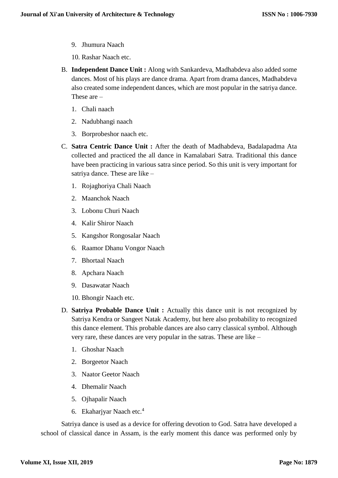- 9. Jhumura Naach
- 10. Rashar Naach etc.
- B. **Independent Dance Unit :** Along with Sankardeva, Madhabdeva also added some dances. Most of his plays are dance drama. Apart from drama dances, Madhabdeva also created some independent dances, which are most popular in the satriya dance. These are –
	- 1. Chali naach
	- 2. Nadubhangi naach
	- 3. Borprobeshor naach etc.
- C. **Satra Centric Dance Unit :** After the death of Madhabdeva, Badalapadma Ata collected and practiced the all dance in Kamalabari Satra. Traditional this dance have been practicing in various satra since period. So this unit is very important for satriya dance. These are like –
	- 1. Rojaghoriya Chali Naach
	- 2. Maanchok Naach
	- 3. Lobonu Churi Naach
	- 4. Kalir Shiror Naach
	- 5. Kangshor Rongosalar Naach
	- 6. Raamor Dhanu Vongor Naach
	- 7. Bhortaal Naach
	- 8. Apchara Naach
	- 9. Dasawatar Naach
	- 10. Bhongir Naach etc.
- D. **Satriya Probable Dance Unit :** Actually this dance unit is not recognized by Satriya Kendra or Sangeet Natak Academy, but here also probability to recognized this dance element. This probable dances are also carry classical symbol. Although very rare, these dances are very popular in the satras. These are like –
	- 1. Ghoshar Naach
	- 2. Borgeetor Naach
	- 3. Naator Geetor Naach
	- 4. Dhemalir Naach
	- 5. Ojhapalir Naach
	- 6. Ekaharjyar Naach etc.<sup>4</sup>

Satriya dance is used as a device for offering devotion to God. Satra have developed a school of classical dance in Assam, is the early moment this dance was performed only by